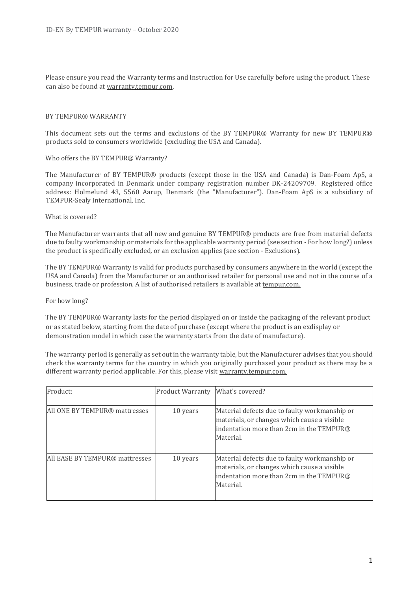Please ensure you read the Warranty terms and Instruction for Use carefully before using the product. These can also be found at warranty.tempur.com.

### BY TEMPUR® WARRANTY

This document sets out the terms and exclusions of the BY TEMPUR® Warranty for new BY TEMPUR® products sold to consumers worldwide (excluding the USA and Canada).

### Who offers the BY TEMPUR® Warranty?

The Manufacturer of BY TEMPUR® products (except those in the USA and Canada) is Dan-Foam ApS, a company incorporated in Denmark under company registration number DK-24209709. Registered office address: Holmelund 43, 5560 Aarup, Denmark (the "Manufacturer"). Dan-Foam ApS is a subsidiary of TEMPUR-Sealy International, Inc.

#### What is covered?

The Manufacturer warrants that all new and genuine BY TEMPUR® products are free from material defects due to faulty workmanship or materials for the applicable warranty period (see section - For how long?) unless the product is specifically excluded, or an exclusion applies (see section - Exclusions).

The BY TEMPUR® Warranty is valid for products purchased by consumers anywhere in the world (except the USA and Canada) from the Manufacturer or an authorised retailer for personal use and not in the course of a business, trade or profession. A list of authorised retailers is available at tempur.com.

#### For how long?

The BY TEMPUR® Warranty lasts for the period displayed on or inside the packaging of the relevant product or as stated below, starting from the date of purchase (except where the product is an exdisplay or demonstration model in which case the warranty starts from the date of manufacture).

The warranty period is generally as set out in the warranty table, but the Manufacturer advises that you should check the warranty terms for the country in which you originally purchased your product as there may be a different warranty period applicable. For this, please visit warranty.tempur.com.

| Product:                       | <b>Product Warranty</b> | What's covered?                                                                                                                                       |
|--------------------------------|-------------------------|-------------------------------------------------------------------------------------------------------------------------------------------------------|
| All ONE BY TEMPUR® mattresses  | 10 years                | Material defects due to faulty workmanship or<br>materials, or changes which cause a visible<br>indentation more than 2cm in the TEMPUR®<br>Material. |
| All EASE BY TEMPUR® mattresses | 10 years                | Material defects due to faulty workmanship or<br>materials, or changes which cause a visible<br>indentation more than 2cm in the TEMPUR®<br>Material. |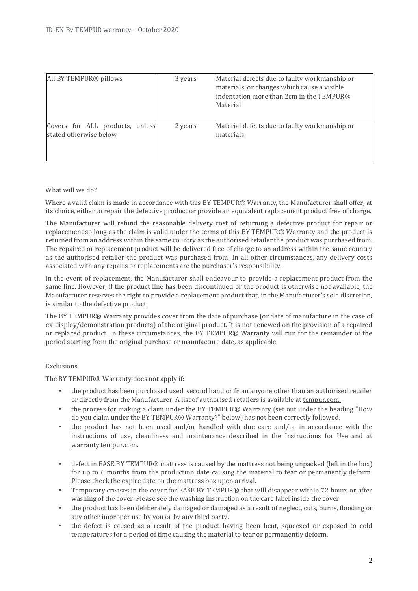| All BY TEMPUR® pillows                                    | 3 years | Material defects due to faulty workmanship or<br>materials, or changes which cause a visible<br>indentation more than 2cm in the TEMPUR®<br>Material |
|-----------------------------------------------------------|---------|------------------------------------------------------------------------------------------------------------------------------------------------------|
| Covers for ALL products, unless<br>stated otherwise below | 2 years | Material defects due to faulty workmanship or<br>materials.                                                                                          |

# What will we do?

Where a valid claim is made in accordance with this BY TEMPUR® Warranty, the Manufacturer shall offer, at its choice, either to repair the defective product or provide an equivalent replacement product free of charge.

The Manufacturer will refund the reasonable delivery cost of returning a defective product for repair or replacement so long as the claim is valid under the terms of this BY TEMPUR® Warranty and the product is returned from an address within the same country as the authorised retailer the product was purchased from. The repaired or replacement product will be delivered free of charge to an address within the same country as the authorised retailer the product was purchased from. In all other circumstances, any delivery costs associated with any repairs or replacements are the purchaser's responsibility.

In the event of replacement, the Manufacturer shall endeavour to provide a replacement product from the same line. However, if the product line has been discontinued or the product is otherwise not available, the Manufacturer reserves the right to provide a replacement product that, in the Manufacturer's sole discretion, is similar to the defective product.

The BY TEMPUR® Warranty provides cover from the date of purchase (or date of manufacture in the case of ex-display/demonstration products) of the original product. It is not renewed on the provision of a repaired or replaced product. In these circumstances, the BY TEMPUR® Warranty will run for the remainder of the period starting from the original purchase or manufacture date, as applicable.

# Exclusions

The BY TEMPUR® Warranty does not apply if:

- the product has been purchased used, second hand or from anyone other than an authorised retailer or directly from the Manufacturer. A list of authorised retailers is available at tempur.com.
- the process for making a claim under the BY TEMPUR® Warranty (set out under the heading "How do you claim under the BY TEMPUR® Warranty?" below) has not been correctly followed.
- the product has not been used and/or handled with due care and/or in accordance with the instructions of use, cleanliness and maintenance described in the Instructions for Use and at warranty.tempur.com.
- defect in EASE BY TEMPUR® mattress is caused by the mattress not being unpacked (left in the box) for up to 6 months from the production date causing the material to tear or permanently deform. Please check the expire date on the mattress box upon arrival.
- Temporary creases in the cover for EASE BY TEMPUR® that will disappear within 72 hours or after washing of the cover. Please see the washing instruction on the care label inside the cover.
- the product has been deliberately damaged or damaged as a result of neglect, cuts, burns, flooding or any other improper use by you or by any third party.
- the defect is caused as a result of the product having been bent, squeezed or exposed to cold temperatures for a period of time causing the material to tear or permanently deform.